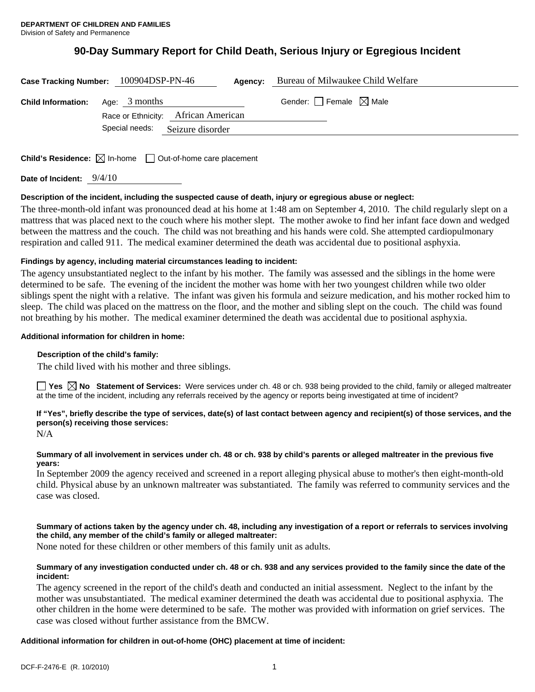# **90-Day Summary Report for Child Death, Serious Injury or Egregious Incident**

| Case Tracking Number: 100904DSP-PN-46   | Agency:                             | Bureau of Milwaukee Child Welfare      |  |
|-----------------------------------------|-------------------------------------|----------------------------------------|--|
| <b>Child Information:</b> Age: 3 months |                                     | Gender: $\Box$ Female $\boxtimes$ Male |  |
|                                         | Race or Ethnicity: African American |                                        |  |
|                                         | Special needs: Seizure disorder     |                                        |  |
|                                         |                                     |                                        |  |

**Child's Residence:**  $\boxtimes$  In-home  $\Box$  Out-of-home care placement

**Date of Incident:** 9/4/10

# **Description of the incident, including the suspected cause of death, injury or egregious abuse or neglect:**

The three-month-old infant was pronounced dead at his home at 1:48 am on September 4, 2010. The child regularly slept on a mattress that was placed next to the couch where his mother slept. The mother awoke to find her infant face down and wedged between the mattress and the couch. The child was not breathing and his hands were cold. She attempted cardiopulmonary respiration and called 911. The medical examiner determined the death was accidental due to positional asphyxia.

# **Findings by agency, including material circumstances leading to incident:**

The agency unsubstantiated neglect to the infant by his mother. The family was assessed and the siblings in the home were determined to be safe. The evening of the incident the mother was home with her two youngest children while two older siblings spent the night with a relative. The infant was given his formula and seizure medication, and his mother rocked him to sleep. The child was placed on the mattress on the floor, and the mother and sibling slept on the couch. The child was found not breathing by his mother. The medical examiner determined the death was accidental due to positional asphyxia.

# **Additional information for children in home:**

# **Description of the child's family:**

The child lived with his mother and three siblings.

■ Yes **No** Statement of Services: Were services under ch. 48 or ch. 938 being provided to the child, family or alleged maltreater at the time of the incident, including any referrals received by the agency or reports being investigated at time of incident?

# **If "Yes", briefly describe the type of services, date(s) of last contact between agency and recipient(s) of those services, and the person(s) receiving those services:**

N/A

# **Summary of all involvement in services under ch. 48 or ch. 938 by child's parents or alleged maltreater in the previous five years:**

In September 2009 the agency received and screened in a report alleging physical abuse to mother's then eight-month-old child. Physical abuse by an unknown maltreater was substantiated. The family was referred to community services and the case was closed.

# **Summary of actions taken by the agency under ch. 48, including any investigation of a report or referrals to services involving the child, any member of the child's family or alleged maltreater:**

None noted for these children or other members of this family unit as adults.

# **Summary of any investigation conducted under ch. 48 or ch. 938 and any services provided to the family since the date of the incident:**

The agency screened in the report of the child's death and conducted an initial assessment. Neglect to the infant by the mother was unsubstantiated. The medical examiner determined the death was accidental due to positional asphyxia. The other children in the home were determined to be safe. The mother was provided with information on grief services. The case was closed without further assistance from the BMCW.

# **Additional information for children in out-of-home (OHC) placement at time of incident:**